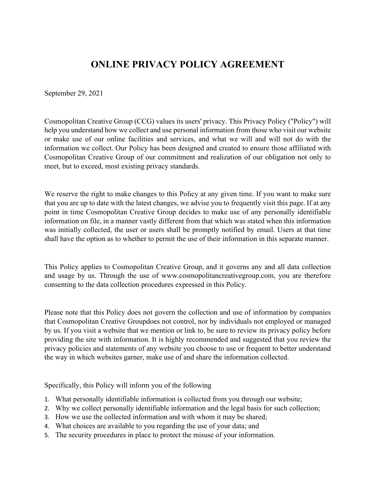# **ONLINE PRIVACY POLICY AGREEMENT**

September 29, 2021

Cosmopolitan Creative Group (CCG) values its users' privacy. This Privacy Policy ("Policy") will help you understand how we collect and use personal information from those who visit our website or make use of our online facilities and services, and what we will and will not do with the information we collect. Our Policy has been designed and created to ensure those affiliated with Cosmopolitan Creative Group of our commitment and realization of our obligation not only to meet, but to exceed, most existing privacy standards.

We reserve the right to make changes to this Policy at any given time. If you want to make sure that you are up to date with the latest changes, we advise you to frequently visit this page. If at any point in time Cosmopolitan Creative Group decides to make use of any personally identifiable information on file, in a manner vastly different from that which was stated when this information was initially collected, the user or users shall be promptly notified by email. Users at that time shall have the option as to whether to permit the use of their information in this separate manner.

This Policy applies to Cosmopolitan Creative Group, and it governs any and all data collection and usage by us. Through the use of www.cosmopolitancreativegroup.com, you are therefore consenting to the data collection procedures expressed in this Policy.

Please note that this Policy does not govern the collection and use of information by companies that Cosmopolitan Creative Groupdoes not control, nor by individuals not employed or managed by us. If you visit a website that we mention or link to, be sure to review its privacy policy before providing the site with information. It is highly recommended and suggested that you review the privacy policies and statements of any website you choose to use or frequent to better understand the way in which websites garner, make use of and share the information collected.

Specifically, this Policy will inform you of the following

- 1. What personally identifiable information is collected from you through our website;
- 2. Why we collect personally identifiable information and the legal basis for such collection;
- 3. How we use the collected information and with whom it may be shared;
- 4. What choices are available to you regarding the use of your data; and
- 5. The security procedures in place to protect the misuse of your information.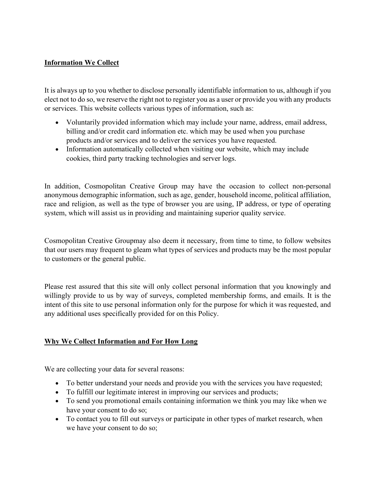# **Information We Collect**

It is always up to you whether to disclose personally identifiable information to us, although if you elect not to do so, we reserve the right not to register you as a user or provide you with any products or services. This website collects various types of information, such as:

- Voluntarily provided information which may include your name, address, email address, billing and/or credit card information etc. which may be used when you purchase products and/or services and to deliver the services you have requested.
- Information automatically collected when visiting our website, which may include cookies, third party tracking technologies and server logs.

In addition, Cosmopolitan Creative Group may have the occasion to collect non-personal anonymous demographic information, such as age, gender, household income, political affiliation, race and religion, as well as the type of browser you are using, IP address, or type of operating system, which will assist us in providing and maintaining superior quality service.

Cosmopolitan Creative Groupmay also deem it necessary, from time to time, to follow websites that our users may frequent to gleam what types of services and products may be the most popular to customers or the general public.

Please rest assured that this site will only collect personal information that you knowingly and willingly provide to us by way of surveys, completed membership forms, and emails. It is the intent of this site to use personal information only for the purpose for which it was requested, and any additional uses specifically provided for on this Policy.

# **Why We Collect Information and For How Long**

We are collecting your data for several reasons:

- To better understand your needs and provide you with the services you have requested;
- To fulfill our legitimate interest in improving our services and products;
- To send you promotional emails containing information we think you may like when we have your consent to do so;
- To contact you to fill out surveys or participate in other types of market research, when we have your consent to do so;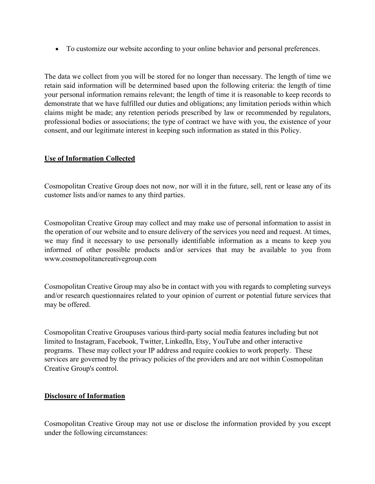• To customize our website according to your online behavior and personal preferences.

The data we collect from you will be stored for no longer than necessary. The length of time we retain said information will be determined based upon the following criteria: the length of time your personal information remains relevant; the length of time it is reasonable to keep records to demonstrate that we have fulfilled our duties and obligations; any limitation periods within which claims might be made; any retention periods prescribed by law or recommended by regulators, professional bodies or associations; the type of contract we have with you, the existence of your consent, and our legitimate interest in keeping such information as stated in this Policy.

# **Use of Information Collected**

Cosmopolitan Creative Group does not now, nor will it in the future, sell, rent or lease any of its customer lists and/or names to any third parties.

Cosmopolitan Creative Group may collect and may make use of personal information to assist in the operation of our website and to ensure delivery of the services you need and request. At times, we may find it necessary to use personally identifiable information as a means to keep you informed of other possible products and/or services that may be available to you from www.cosmopolitancreativegroup.com

Cosmopolitan Creative Group may also be in contact with you with regards to completing surveys and/or research questionnaires related to your opinion of current or potential future services that may be offered.

Cosmopolitan Creative Groupuses various third-party social media features including but not limited to Instagram, Facebook, Twitter, LinkedIn, Etsy, YouTube and other interactive programs. These may collect your IP address and require cookies to work properly. These services are governed by the privacy policies of the providers and are not within Cosmopolitan Creative Group's control.

# **Disclosure of Information**

Cosmopolitan Creative Group may not use or disclose the information provided by you except under the following circumstances: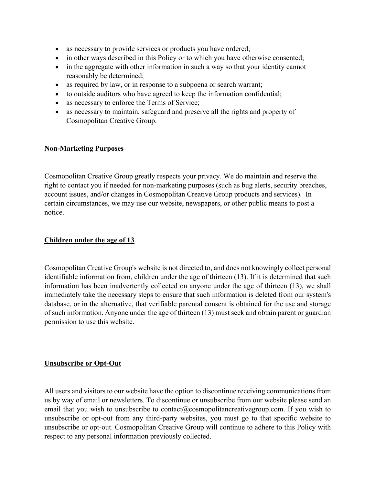- as necessary to provide services or products you have ordered;
- in other ways described in this Policy or to which you have otherwise consented;
- in the aggregate with other information in such a way so that your identity cannot reasonably be determined;
- as required by law, or in response to a subpoena or search warrant;
- to outside auditors who have agreed to keep the information confidential;
- as necessary to enforce the Terms of Service;
- as necessary to maintain, safeguard and preserve all the rights and property of Cosmopolitan Creative Group.

# **Non-Marketing Purposes**

Cosmopolitan Creative Group greatly respects your privacy. We do maintain and reserve the right to contact you if needed for non-marketing purposes (such as bug alerts, security breaches, account issues, and/or changes in Cosmopolitan Creative Group products and services). In certain circumstances, we may use our website, newspapers, or other public means to post a notice.

# **Children under the age of 13**

Cosmopolitan Creative Group's website is not directed to, and does not knowingly collect personal identifiable information from, children under the age of thirteen (13). If it is determined that such information has been inadvertently collected on anyone under the age of thirteen (13), we shall immediately take the necessary steps to ensure that such information is deleted from our system's database, or in the alternative, that verifiable parental consent is obtained for the use and storage of such information. Anyone under the age of thirteen (13) must seek and obtain parent or guardian permission to use this website.

# **Unsubscribe or Opt-Out**

All users and visitors to our website have the option to discontinue receiving communications from us by way of email or newsletters. To discontinue or unsubscribe from our website please send an email that you wish to unsubscribe to contact@cosmopolitancreativegroup.com. If you wish to unsubscribe or opt-out from any third-party websites, you must go to that specific website to unsubscribe or opt-out. Cosmopolitan Creative Group will continue to adhere to this Policy with respect to any personal information previously collected.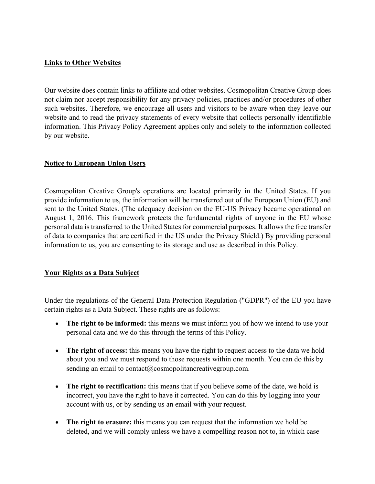#### **Links to Other Websites**

Our website does contain links to affiliate and other websites. Cosmopolitan Creative Group does not claim nor accept responsibility for any privacy policies, practices and/or procedures of other such websites. Therefore, we encourage all users and visitors to be aware when they leave our website and to read the privacy statements of every website that collects personally identifiable information. This Privacy Policy Agreement applies only and solely to the information collected by our website.

# **Notice to European Union Users**

Cosmopolitan Creative Group's operations are located primarily in the United States. If you provide information to us, the information will be transferred out of the European Union (EU) and sent to the United States. (The adequacy decision on the EU-US Privacy became operational on August 1, 2016. This framework protects the fundamental rights of anyone in the EU whose personal data is transferred to the United States for commercial purposes. It allows the free transfer of data to companies that are certified in the US under the Privacy Shield.) By providing personal information to us, you are consenting to its storage and use as described in this Policy.

# **Your Rights as a Data Subject**

Under the regulations of the General Data Protection Regulation ("GDPR") of the EU you have certain rights as a Data Subject. These rights are as follows:

- **The right to be informed:** this means we must inform you of how we intend to use your personal data and we do this through the terms of this Policy.
- **The right of access:** this means you have the right to request access to the data we hold about you and we must respond to those requests within one month. You can do this by sending an email to contact@cosmopolitancreativegroup.com.
- **The right to rectification:** this means that if you believe some of the date, we hold is incorrect, you have the right to have it corrected. You can do this by logging into your account with us, or by sending us an email with your request.
- **The right to erasure:** this means you can request that the information we hold be deleted, and we will comply unless we have a compelling reason not to, in which case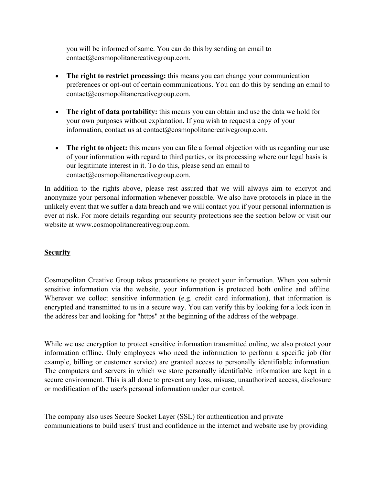you will be informed of same. You can do this by sending an email to contact@cosmopolitancreativegroup.com.

- **The right to restrict processing:** this means you can change your communication preferences or opt-out of certain communications. You can do this by sending an email to contact@cosmopolitancreativegroup.com.
- **The right of data portability:** this means you can obtain and use the data we hold for your own purposes without explanation. If you wish to request a copy of your information, contact us at contact@cosmopolitancreativegroup.com.
- **The right to object:** this means you can file a formal objection with us regarding our use of your information with regard to third parties, or its processing where our legal basis is our legitimate interest in it. To do this, please send an email to contact@cosmopolitancreativegroup.com.

In addition to the rights above, please rest assured that we will always aim to encrypt and anonymize your personal information whenever possible. We also have protocols in place in the unlikely event that we suffer a data breach and we will contact you if your personal information is ever at risk. For more details regarding our security protections see the section below or visit our website at www.cosmopolitancreativegroup.com.

# **Security**

Cosmopolitan Creative Group takes precautions to protect your information. When you submit sensitive information via the website, your information is protected both online and offline. Wherever we collect sensitive information (e.g. credit card information), that information is encrypted and transmitted to us in a secure way. You can verify this by looking for a lock icon in the address bar and looking for "https" at the beginning of the address of the webpage.

While we use encryption to protect sensitive information transmitted online, we also protect your information offline. Only employees who need the information to perform a specific job (for example, billing or customer service) are granted access to personally identifiable information. The computers and servers in which we store personally identifiable information are kept in a secure environment. This is all done to prevent any loss, misuse, unauthorized access, disclosure or modification of the user's personal information under our control.

The company also uses Secure Socket Layer (SSL) for authentication and private communications to build users' trust and confidence in the internet and website use by providing